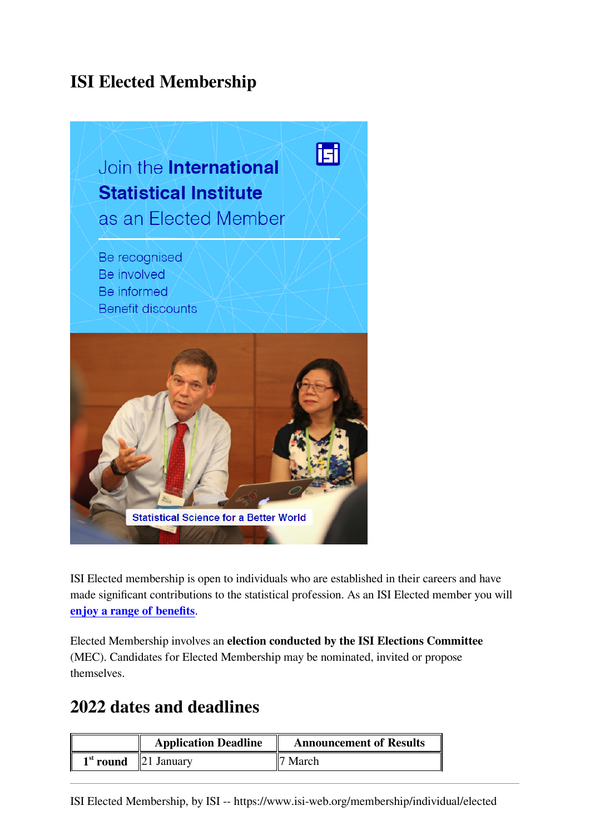# **ISI Elected Membership**



ISI Elected membership is open to individuals who are established in their careers and have made significant contributions to the statistical profession. As an ISI Elected member you will **[enjoy a range of benefits](https://www.isi-web.org/node/314)**.

Elected Membership involves an **election conducted by the ISI Elections Committee** (MEC). Candidates for Elected Membership may be nominated, invited or propose themselves.

### **2022 dates and deadlines**

|                        | <b>Application Deadline</b> | <b>Announcement of Results</b> |
|------------------------|-----------------------------|--------------------------------|
| $1st$ round 21 January |                             | March                          |

ISI Elected Membership, by ISI -- https://www.isi-web.org/membership/individual/elected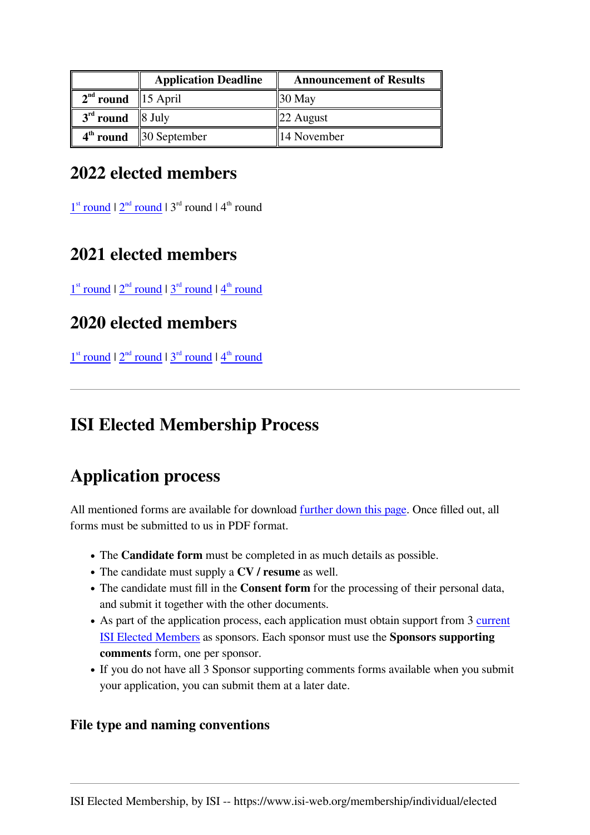|                        | <b>Application Deadline</b>          | <b>Announcement of Results</b> |
|------------------------|--------------------------------------|--------------------------------|
| $2nd$ round   15 April |                                      | $\parallel$ 30 May             |
| $3rd$ round   8 July   |                                      | $\parallel$ 22 August          |
|                        | $4th$ round $\parallel$ 30 September | $\parallel$ 14 November        |

# **2022 elected members**

 $1<sup>st</sup>$  $1<sup>st</sup>$  $1<sup>st</sup>$  $1<sup>st</sup>$  [round](https://www.isi-web.org/news/node-2244)  $12<sup>nd</sup>$  $12<sup>nd</sup>$  $12<sup>nd</sup>$  round  $14<sup>th</sup>$  round

# **2021 elected members**

 $1<sup>st</sup>$  $1<sup>st</sup>$  $1<sup>st</sup>$  $1<sup>st</sup>$  [round](https://isi-web.org/news/node-597)  $12<sup>nd</sup>$  $12<sup>nd</sup>$  $12<sup>nd</sup>$  [round](https://isi-web.org/news/node-1007)  $13<sup>rd</sup>$  $13<sup>rd</sup>$  $13<sup>rd</sup>$  round  $14<sup>th</sup>$  $14<sup>th</sup>$  $14<sup>th</sup>$  $14<sup>th</sup>$  $14<sup>th</sup>$  round

# **2020 elected members**

 $1<sup>st</sup>$  $1<sup>st</sup>$  $1<sup>st</sup>$  $1<sup>st</sup>$  [round](https://www.isi-web.org/files/docs/members/elected-members-summary-of-results_2020-second-round.pdf)  $12<sup>nd</sup>$  $12<sup>nd</sup>$  $12<sup>nd</sup>$  [round](https://www.isi-web.org/files/docs/members/elected-members-summary-of-results_2020-fourth-round.pdf)  $13<sup>rd</sup>$  $13<sup>rd</sup>$  $13<sup>rd</sup>$  round  $14<sup>th</sup>$  $14<sup>th</sup>$  $14<sup>th</sup>$  $14<sup>th</sup>$  $14<sup>th</sup>$  round

# **ISI Elected Membership Process**

# **Application process**

All mentioned forms are available for download [further down this page](https://www.isi-web.org/node/379#downloads). Once filled out, all forms must be submitted to us in PDF format.

- The **Candidate form** must be completed in as much details as possible.
- The candidate must supply a **CV / resume** as well.
- The candidate must fill in the **Consent form** for the processing of their personal data, and submit it together with the other documents.
- As part of the application process, each application must obtain support from 3 [current](https://www.isi-web.org/about/members/individual?type=elected) [ISI Elected Members](https://www.isi-web.org/about/members/individual?type=elected) as sponsors. Each sponsor must use the **Sponsors supporting comments** form, one per sponsor.
- If you do not have all 3 Sponsor supporting comments forms available when you submit your application, you can submit them at a later date.

### **File type and naming conventions**